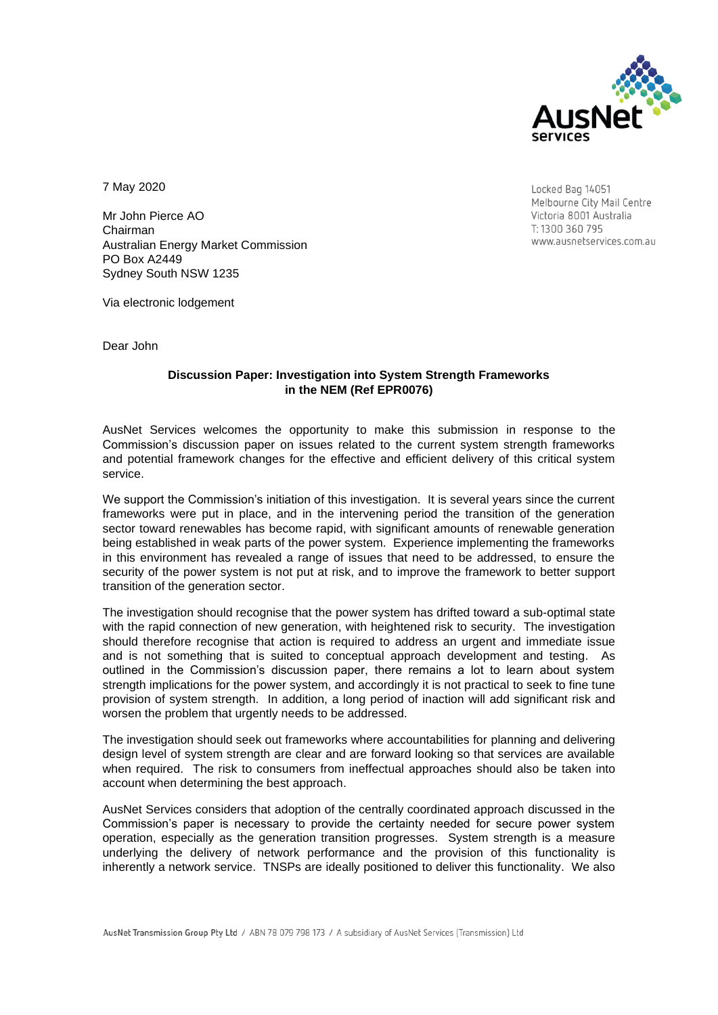

7 May 2020

Mr John Pierce AO Chairman Australian Energy Market Commission PO Box A2449 Sydney South NSW 1235

Locked Bag 14051 Melbourne City Mail Centre Victoria 8001 Australia T: 1300 360 795 www.ausnetservices.com.au

Via electronic lodgement

Dear John

#### **Discussion Paper: Investigation into System Strength Frameworks in the NEM (Ref EPR0076)**

AusNet Services welcomes the opportunity to make this submission in response to the Commission's discussion paper on issues related to the current system strength frameworks and potential framework changes for the effective and efficient delivery of this critical system service.

We support the Commission's initiation of this investigation. It is several years since the current frameworks were put in place, and in the intervening period the transition of the generation sector toward renewables has become rapid, with significant amounts of renewable generation being established in weak parts of the power system. Experience implementing the frameworks in this environment has revealed a range of issues that need to be addressed, to ensure the security of the power system is not put at risk, and to improve the framework to better support transition of the generation sector.

The investigation should recognise that the power system has drifted toward a sub-optimal state with the rapid connection of new generation, with heightened risk to security. The investigation should therefore recognise that action is required to address an urgent and immediate issue and is not something that is suited to conceptual approach development and testing. As outlined in the Commission's discussion paper, there remains a lot to learn about system strength implications for the power system, and accordingly it is not practical to seek to fine tune provision of system strength. In addition, a long period of inaction will add significant risk and worsen the problem that urgently needs to be addressed.

The investigation should seek out frameworks where accountabilities for planning and delivering design level of system strength are clear and are forward looking so that services are available when required. The risk to consumers from ineffectual approaches should also be taken into account when determining the best approach.

AusNet Services considers that adoption of the centrally coordinated approach discussed in the Commission's paper is necessary to provide the certainty needed for secure power system operation, especially as the generation transition progresses. System strength is a measure underlying the delivery of network performance and the provision of this functionality is inherently a network service. TNSPs are ideally positioned to deliver this functionality. We also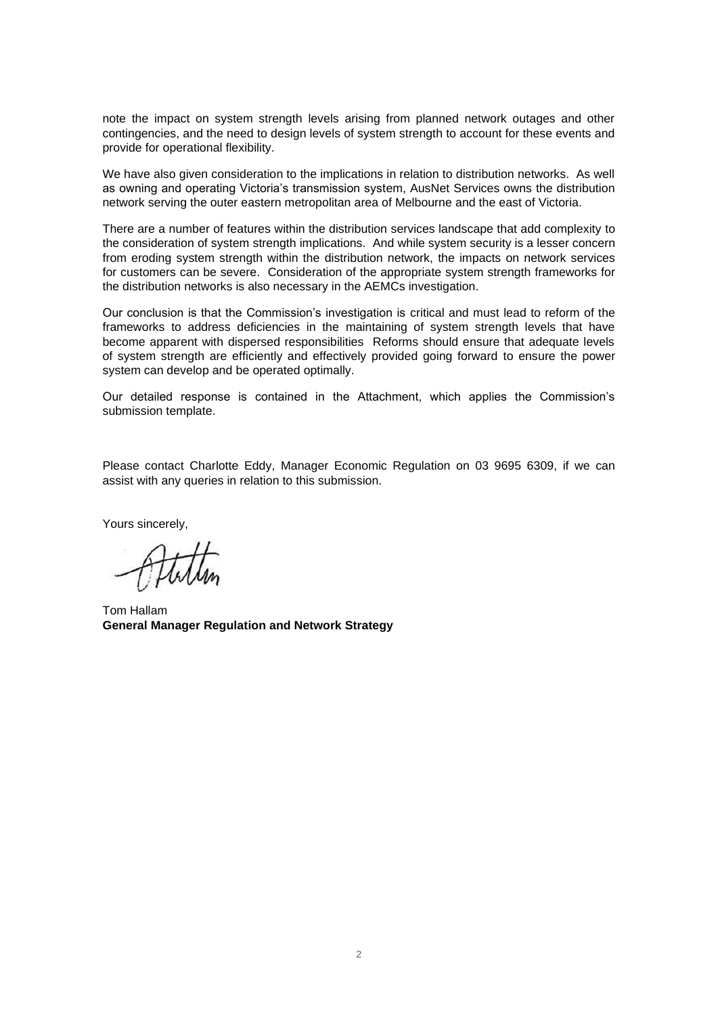note the impact on system strength levels arising from planned network outages and other contingencies, and the need to design levels of system strength to account for these events and provide for operational flexibility.

We have also given consideration to the implications in relation to distribution networks. As well as owning and operating Victoria's transmission system, AusNet Services owns the distribution network serving the outer eastern metropolitan area of Melbourne and the east of Victoria.

There are a number of features within the distribution services landscape that add complexity to the consideration of system strength implications. And while system security is a lesser concern from eroding system strength within the distribution network, the impacts on network services for customers can be severe. Consideration of the appropriate system strength frameworks for the distribution networks is also necessary in the AEMCs investigation.

Our conclusion is that the Commission's investigation is critical and must lead to reform of the frameworks to address deficiencies in the maintaining of system strength levels that have become apparent with dispersed responsibilities Reforms should ensure that adequate levels of system strength are efficiently and effectively provided going forward to ensure the power system can develop and be operated optimally.

Our detailed response is contained in the Attachment, which applies the Commission's submission template.

Please contact Charlotte Eddy, Manager Economic Regulation on 03 9695 6309, if we can assist with any queries in relation to this submission.

Yours sincerely,

Tom Hallam **General Manager Regulation and Network Strategy**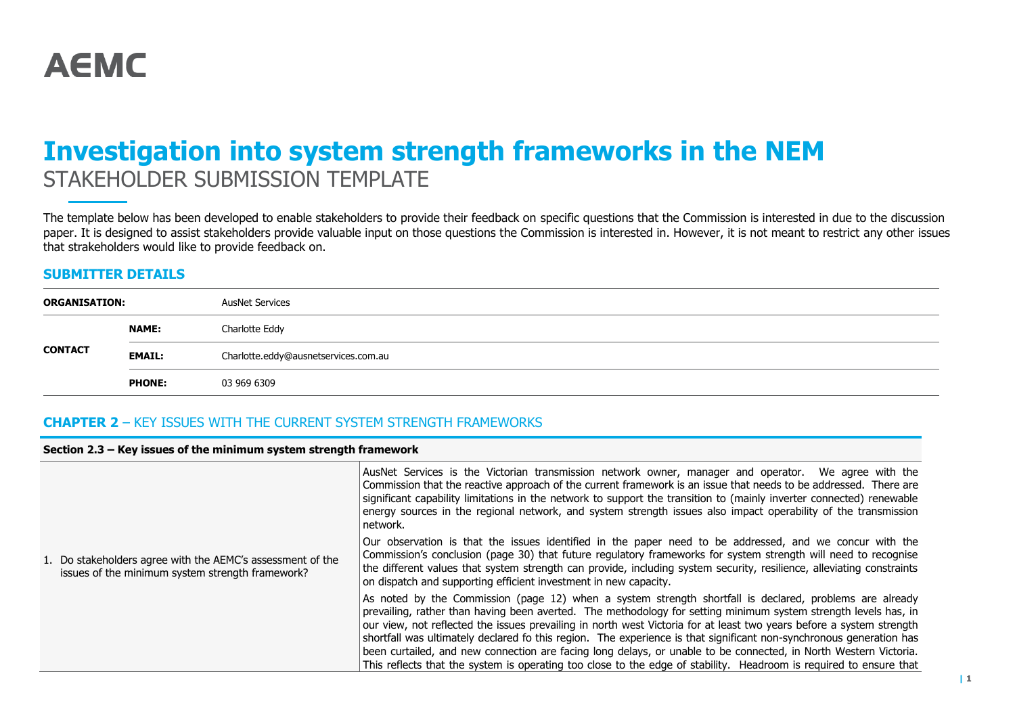# **Investigation into system strength frameworks in the NEM** STAKEHOLDER SUBMISSION TEMPLATE

The template below has been developed to enable stakeholders to provide their feedback on specific questions that the Commission is interested in due to the discussion paper. It is designed to assist stakeholders provide valuable input on those questions the Commission is interested in. However, it is not meant to restrict any other issues that strakeholders would like to provide feedback on.

#### **SUBMITTER DETAILS**

| <b>ORGANISATION:</b> |               | AusNet Services                      |
|----------------------|---------------|--------------------------------------|
|                      | <b>NAME:</b>  | Charlotte Eddy                       |
| <b>CONTACT</b>       | <b>EMAIL:</b> | Charlotte.eddy@ausnetservices.com.au |
|                      | <b>PHONE:</b> | 03 969 6309                          |

### **CHAPTER 2** – KEY ISSUES WITH THE CURRENT SYSTEM STRENGTH FRAMEWORKS

#### **Section 2.3 – Key issues of the minimum system strength framework**

|                                                                                                                | AusNet Services is the Victorian transmission network owner, manager and operator. We agree with the<br>Commission that the reactive approach of the current framework is an issue that needs to be addressed. There are<br>significant capability limitations in the network to support the transition to (mainly inverter connected) renewable<br>energy sources in the regional network, and system strength issues also impact operability of the transmission<br>network.                                                                                                                                                                                                                                      |
|----------------------------------------------------------------------------------------------------------------|---------------------------------------------------------------------------------------------------------------------------------------------------------------------------------------------------------------------------------------------------------------------------------------------------------------------------------------------------------------------------------------------------------------------------------------------------------------------------------------------------------------------------------------------------------------------------------------------------------------------------------------------------------------------------------------------------------------------|
| 1. Do stakeholders agree with the AEMC's assessment of the<br>issues of the minimum system strength framework? | Our observation is that the issues identified in the paper need to be addressed, and we concur with the<br>Commission's conclusion (page 30) that future regulatory frameworks for system strength will need to recognise<br>the different values that system strength can provide, including system security, resilience, alleviating constraints<br>on dispatch and supporting efficient investment in new capacity.                                                                                                                                                                                                                                                                                              |
|                                                                                                                | As noted by the Commission (page 12) when a system strength shortfall is declared, problems are already<br>prevailing, rather than having been averted. The methodology for setting minimum system strength levels has, in<br>our view, not reflected the issues prevailing in north west Victoria for at least two years before a system strength<br>shortfall was ultimately declared fo this region. The experience is that significant non-synchronous generation has<br>been curtailed, and new connection are facing long delays, or unable to be connected, in North Western Victoria.<br>This reflects that the system is operating too close to the edge of stability. Headroom is required to ensure that |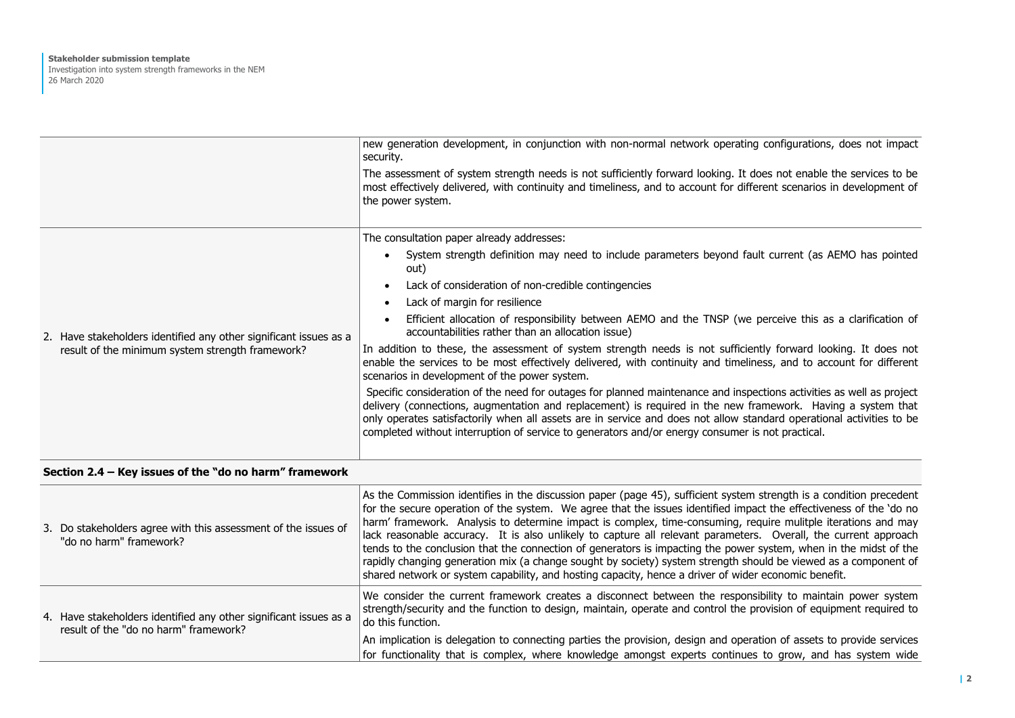|                                                                   | new generation development, in conjunction with non-normal network operating configurations, does not impact<br>security.                                                                                                                                                                                                                                                                                                                                       |
|-------------------------------------------------------------------|-----------------------------------------------------------------------------------------------------------------------------------------------------------------------------------------------------------------------------------------------------------------------------------------------------------------------------------------------------------------------------------------------------------------------------------------------------------------|
|                                                                   | The assessment of system strength needs is not sufficiently forward looking. It does not enable the services to be<br>most effectively delivered, with continuity and timeliness, and to account for different scenarios in development of<br>the power system.                                                                                                                                                                                                 |
|                                                                   | The consultation paper already addresses:                                                                                                                                                                                                                                                                                                                                                                                                                       |
|                                                                   | System strength definition may need to include parameters beyond fault current (as AEMO has pointed<br>$\bullet$<br>out)                                                                                                                                                                                                                                                                                                                                        |
|                                                                   | Lack of consideration of non-credible contingencies<br>$\bullet$                                                                                                                                                                                                                                                                                                                                                                                                |
|                                                                   | Lack of margin for resilience<br>$\bullet$                                                                                                                                                                                                                                                                                                                                                                                                                      |
| 2. Have stakeholders identified any other significant issues as a | Efficient allocation of responsibility between AEMO and the TNSP (we perceive this as a clarification of<br>$\bullet$<br>accountabilities rather than an allocation issue)                                                                                                                                                                                                                                                                                      |
| result of the minimum system strength framework?                  | In addition to these, the assessment of system strength needs is not sufficiently forward looking. It does not<br>enable the services to be most effectively delivered, with continuity and timeliness, and to account for different<br>scenarios in development of the power system.                                                                                                                                                                           |
|                                                                   | Specific consideration of the need for outages for planned maintenance and inspections activities as well as project<br>delivery (connections, augmentation and replacement) is required in the new framework. Having a system that<br>only operates satisfactorily when all assets are in service and does not allow standard operational activities to be<br>completed without interruption of service to generators and/or energy consumer is not practical. |
|                                                                   |                                                                                                                                                                                                                                                                                                                                                                                                                                                                 |

### **Section 2.4 – Key issues of the "do no harm" framework**

|  | 3. Do stakeholders agree with this assessment of the issues of<br>"do no harm" framework?                  | As the Commission identifies in the discussion paper (page 45), sufficient system strength is a condition precedent<br>for the secure operation of the system. We agree that the issues identified impact the effectiveness of the 'do no<br>harm' framework. Analysis to determine impact is complex, time-consuming, require mulitple iterations and may<br>lack reasonable accuracy. It is also unlikely to capture all relevant parameters. Overall, the current approach<br>tends to the conclusion that the connection of generators is impacting the power system, when in the midst of the<br>rapidly changing generation mix (a change sought by society) system strength should be viewed as a component of<br>shared network or system capability, and hosting capacity, hence a driver of wider economic benefit. |
|--|------------------------------------------------------------------------------------------------------------|-------------------------------------------------------------------------------------------------------------------------------------------------------------------------------------------------------------------------------------------------------------------------------------------------------------------------------------------------------------------------------------------------------------------------------------------------------------------------------------------------------------------------------------------------------------------------------------------------------------------------------------------------------------------------------------------------------------------------------------------------------------------------------------------------------------------------------|
|  | 4. Have stakeholders identified any other significant issues as a<br>result of the "do no harm" framework? | We consider the current framework creates a disconnect between the responsibility to maintain power system<br>strength/security and the function to design, maintain, operate and control the provision of equipment required to<br>do this function.                                                                                                                                                                                                                                                                                                                                                                                                                                                                                                                                                                         |
|  |                                                                                                            | An implication is delegation to connecting parties the provision, design and operation of assets to provide services<br>for functionality that is complex, where knowledge amongst experts continues to grow, and has system wide                                                                                                                                                                                                                                                                                                                                                                                                                                                                                                                                                                                             |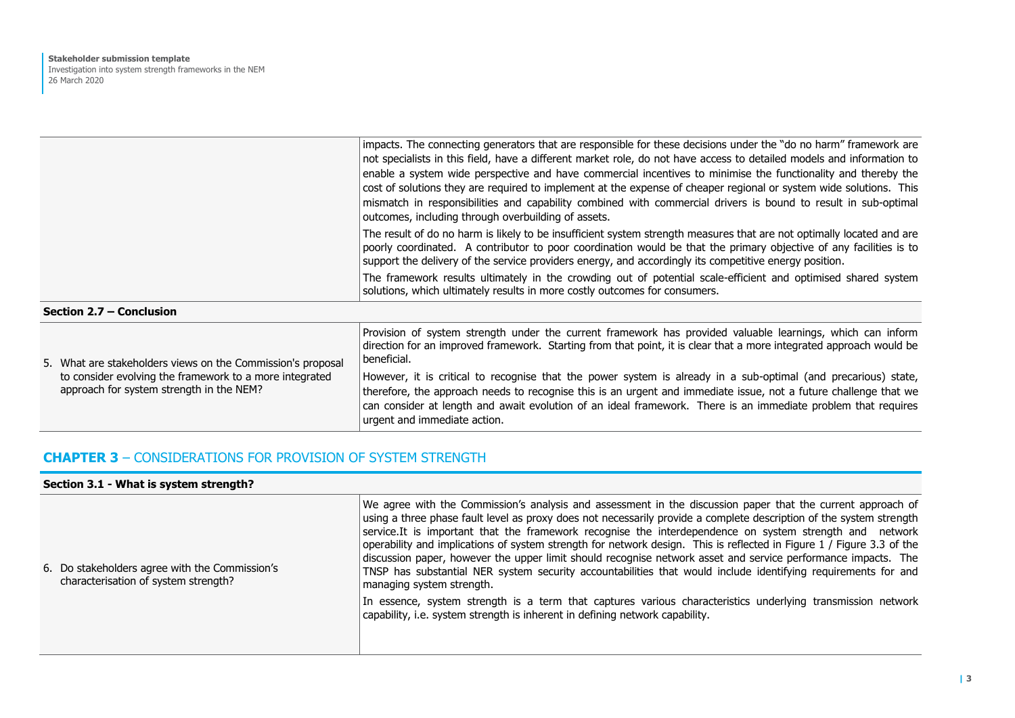|  |                                                                                                     | impacts. The connecting generators that are responsible for these decisions under the "do no harm" framework are<br>not specialists in this field, have a different market role, do not have access to detailed models and information to<br>enable a system wide perspective and have commercial incentives to minimise the functionality and thereby the<br>cost of solutions they are required to implement at the expense of cheaper regional or system wide solutions. This<br>mismatch in responsibilities and capability combined with commercial drivers is bound to result in sub-optimal<br>outcomes, including through overbuilding of assets. |
|--|-----------------------------------------------------------------------------------------------------|-----------------------------------------------------------------------------------------------------------------------------------------------------------------------------------------------------------------------------------------------------------------------------------------------------------------------------------------------------------------------------------------------------------------------------------------------------------------------------------------------------------------------------------------------------------------------------------------------------------------------------------------------------------|
|  |                                                                                                     | The result of do no harm is likely to be insufficient system strength measures that are not optimally located and are<br>poorly coordinated. A contributor to poor coordination would be that the primary objective of any facilities is to<br>support the delivery of the service providers energy, and accordingly its competitive energy position.                                                                                                                                                                                                                                                                                                     |
|  |                                                                                                     | The framework results ultimately in the crowding out of potential scale-efficient and optimised shared system<br>solutions, which ultimately results in more costly outcomes for consumers.                                                                                                                                                                                                                                                                                                                                                                                                                                                               |
|  | Section 2.7 – Conclusion                                                                            |                                                                                                                                                                                                                                                                                                                                                                                                                                                                                                                                                                                                                                                           |
|  | 5. What are stakeholders views on the Commission's proposal                                         | Provision of system strength under the current framework has provided valuable learnings, which can inform<br>direction for an improved framework. Starting from that point, it is clear that a more integrated approach would be<br>beneficial.                                                                                                                                                                                                                                                                                                                                                                                                          |
|  | to consider evolving the framework to a more integrated<br>approach for system strength in the NEM? | However, it is critical to recognise that the power system is already in a sub-optimal (and precarious) state,<br>therefore, the approach needs to recognise this is an urgent and immediate issue, not a future challenge that we<br>can consider at length and await evolution of an ideal framework. There is an immediate problem that requires<br>urgent and immediate action.                                                                                                                                                                                                                                                                       |

## **CHAPTER 3** – CONSIDERATIONS FOR PROVISION OF SYSTEM STRENGTH

| Section 3.1 - What is system strength?                                                 |                                                                                                                                                                                                                                                                                                                                                                                                                                                                                                                                                                                                                                                                                                                                        |  |
|----------------------------------------------------------------------------------------|----------------------------------------------------------------------------------------------------------------------------------------------------------------------------------------------------------------------------------------------------------------------------------------------------------------------------------------------------------------------------------------------------------------------------------------------------------------------------------------------------------------------------------------------------------------------------------------------------------------------------------------------------------------------------------------------------------------------------------------|--|
| 6. Do stakeholders agree with the Commission's<br>characterisation of system strength? | We agree with the Commission's analysis and assessment in the discussion paper that the current approach of<br>using a three phase fault level as proxy does not necessarily provide a complete description of the system strength<br>service. It is important that the framework recognise the interdependence on system strength and network<br>operability and implications of system strength for network design. This is reflected in Figure 1 / Figure 3.3 of the<br>discussion paper, however the upper limit should recognise network asset and service performance impacts. The<br>TNSP has substantial NER system security accountabilities that would include identifying requirements for and<br>managing system strength. |  |
|                                                                                        | In essence, system strength is a term that captures various characteristics underlying transmission network<br>capability, i.e. system strength is inherent in defining network capability.                                                                                                                                                                                                                                                                                                                                                                                                                                                                                                                                            |  |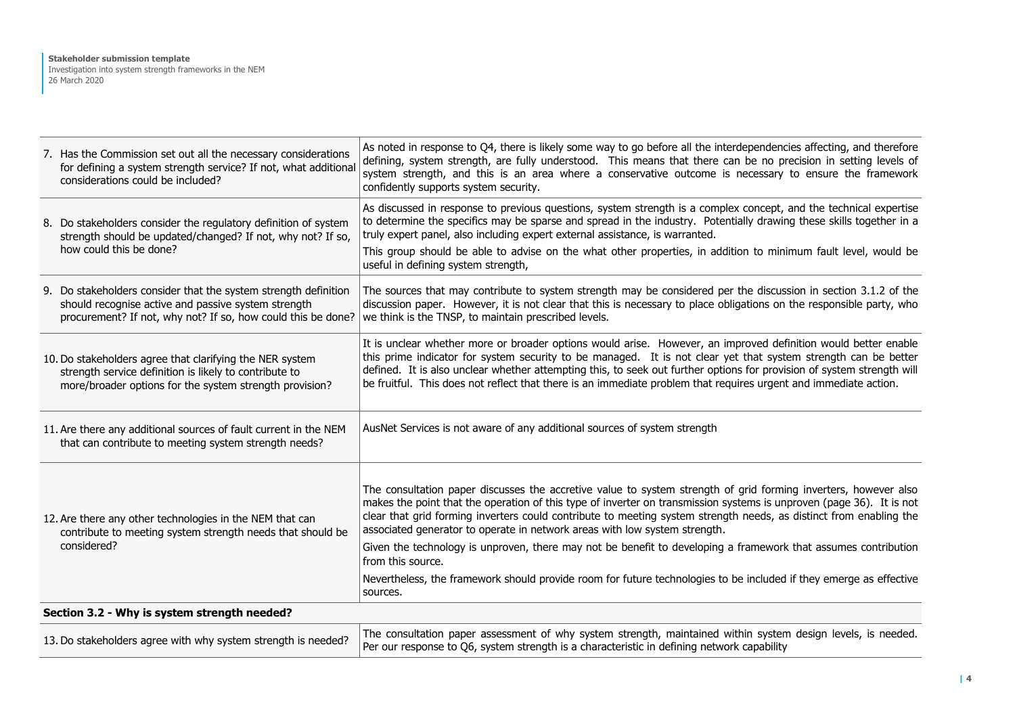| 7. Has the Commission set out all the necessary considerations<br>for defining a system strength service? If not, what additional<br>considerations could be included?                 | As noted in response to Q4, there is likely some way to go before all the interdependencies affecting, and therefore<br>defining, system strength, are fully understood. This means that there can be no precision in setting levels of<br>system strength, and this is an area where a conservative outcome is necessary to ensure the framework<br>confidently supports system security.                                                                                     |
|----------------------------------------------------------------------------------------------------------------------------------------------------------------------------------------|--------------------------------------------------------------------------------------------------------------------------------------------------------------------------------------------------------------------------------------------------------------------------------------------------------------------------------------------------------------------------------------------------------------------------------------------------------------------------------|
| 8. Do stakeholders consider the regulatory definition of system<br>strength should be updated/changed? If not, why not? If so,                                                         | As discussed in response to previous questions, system strength is a complex concept, and the technical expertise<br>to determine the specifics may be sparse and spread in the industry. Potentially drawing these skills together in a<br>truly expert panel, also including expert external assistance, is warranted.                                                                                                                                                       |
| how could this be done?                                                                                                                                                                | This group should be able to advise on the what other properties, in addition to minimum fault level, would be<br>useful in defining system strength,                                                                                                                                                                                                                                                                                                                          |
| 9. Do stakeholders consider that the system strength definition<br>should recognise active and passive system strength<br>procurement? If not, why not? If so, how could this be done? | The sources that may contribute to system strength may be considered per the discussion in section 3.1.2 of the<br>discussion paper. However, it is not clear that this is necessary to place obligations on the responsible party, who<br>we think is the TNSP, to maintain prescribed levels.                                                                                                                                                                                |
| 10. Do stakeholders agree that clarifying the NER system<br>strength service definition is likely to contribute to<br>more/broader options for the system strength provision?          | It is unclear whether more or broader options would arise. However, an improved definition would better enable<br>this prime indicator for system security to be managed. It is not clear yet that system strength can be better<br>defined. It is also unclear whether attempting this, to seek out further options for provision of system strength will<br>be fruitful. This does not reflect that there is an immediate problem that requires urgent and immediate action. |
| 11. Are there any additional sources of fault current in the NEM<br>that can contribute to meeting system strength needs?                                                              | AusNet Services is not aware of any additional sources of system strength                                                                                                                                                                                                                                                                                                                                                                                                      |
| 12. Are there any other technologies in the NEM that can<br>contribute to meeting system strength needs that should be                                                                 | The consultation paper discusses the accretive value to system strength of grid forming inverters, however also<br>makes the point that the operation of this type of inverter on transmission systems is unproven (page 36). It is not<br>clear that grid forming inverters could contribute to meeting system strength needs, as distinct from enabling the<br>associated generator to operate in network areas with low system strength.                                    |
| considered?                                                                                                                                                                            | Given the technology is unproven, there may not be benefit to developing a framework that assumes contribution<br>from this source.                                                                                                                                                                                                                                                                                                                                            |
|                                                                                                                                                                                        | Nevertheless, the framework should provide room for future technologies to be included if they emerge as effective<br>sources.                                                                                                                                                                                                                                                                                                                                                 |
| Section 3.2 - Why is system strength needed?                                                                                                                                           |                                                                                                                                                                                                                                                                                                                                                                                                                                                                                |
| 13. Do stakeholders agree with why system strength is needed?                                                                                                                          | The consultation paper assessment of why system strength, maintained within system design levels, is needed.<br>Per our response to Q6, system strength is a characteristic in defining network capability                                                                                                                                                                                                                                                                     |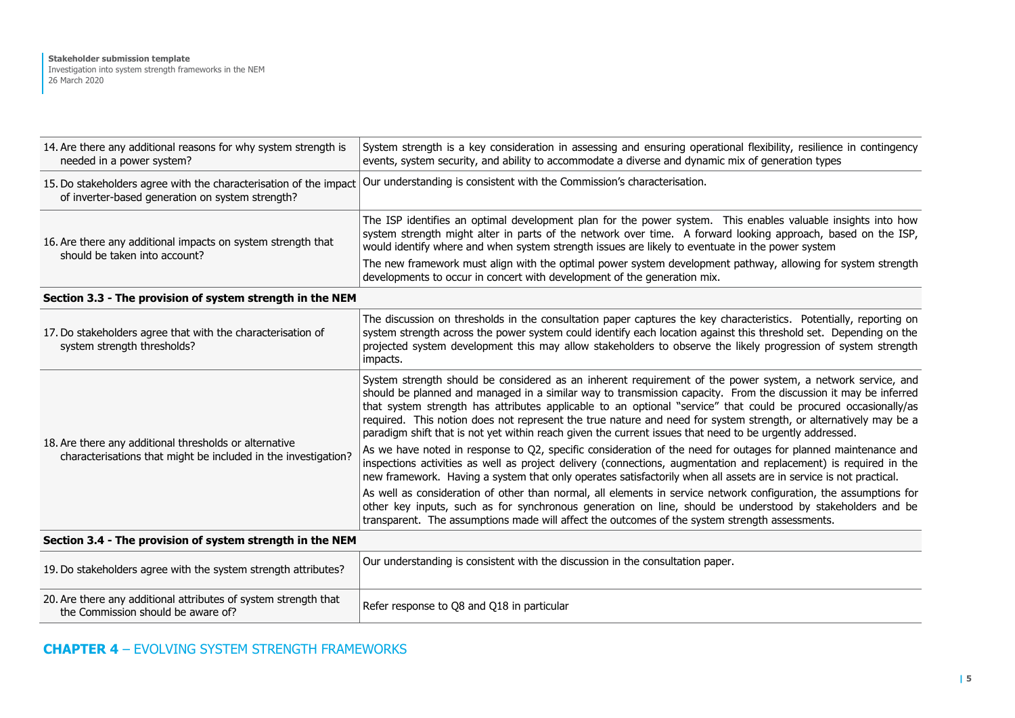| 14. Are there any additional reasons for why system strength is<br>needed in a power system?                             | System strength is a key consideration in assessing and ensuring operational flexibility, resilience in contingency<br>events, system security, and ability to accommodate a diverse and dynamic mix of generation types                                                                                                                                                                                                                                                                                                                                                         |
|--------------------------------------------------------------------------------------------------------------------------|----------------------------------------------------------------------------------------------------------------------------------------------------------------------------------------------------------------------------------------------------------------------------------------------------------------------------------------------------------------------------------------------------------------------------------------------------------------------------------------------------------------------------------------------------------------------------------|
| 15. Do stakeholders agree with the characterisation of the impact<br>of inverter-based generation on system strength?    | Our understanding is consistent with the Commission's characterisation.                                                                                                                                                                                                                                                                                                                                                                                                                                                                                                          |
| 16. Are there any additional impacts on system strength that                                                             | The ISP identifies an optimal development plan for the power system. This enables valuable insights into how<br>system strength might alter in parts of the network over time. A forward looking approach, based on the ISP,<br>would identify where and when system strength issues are likely to eventuate in the power system                                                                                                                                                                                                                                                 |
| should be taken into account?                                                                                            | The new framework must align with the optimal power system development pathway, allowing for system strength<br>developments to occur in concert with development of the generation mix.                                                                                                                                                                                                                                                                                                                                                                                         |
| Section 3.3 - The provision of system strength in the NEM                                                                |                                                                                                                                                                                                                                                                                                                                                                                                                                                                                                                                                                                  |
| 17. Do stakeholders agree that with the characterisation of<br>system strength thresholds?                               | The discussion on thresholds in the consultation paper captures the key characteristics. Potentially, reporting on<br>system strength across the power system could identify each location against this threshold set. Depending on the<br>projected system development this may allow stakeholders to observe the likely progression of system strength<br>impacts.                                                                                                                                                                                                             |
| 18. Are there any additional thresholds or alternative<br>characterisations that might be included in the investigation? | System strength should be considered as an inherent requirement of the power system, a network service, and<br>should be planned and managed in a similar way to transmission capacity. From the discussion it may be inferred<br>that system strength has attributes applicable to an optional "service" that could be procured occasionally/as<br>required. This notion does not represent the true nature and need for system strength, or alternatively may be a<br>paradigm shift that is not yet within reach given the current issues that need to be urgently addressed. |
|                                                                                                                          | As we have noted in response to Q2, specific consideration of the need for outages for planned maintenance and<br>inspections activities as well as project delivery (connections, augmentation and replacement) is required in the<br>new framework. Having a system that only operates satisfactorily when all assets are in service is not practical.                                                                                                                                                                                                                         |
|                                                                                                                          | As well as consideration of other than normal, all elements in service network configuration, the assumptions for<br>other key inputs, such as for synchronous generation on line, should be understood by stakeholders and be<br>transparent. The assumptions made will affect the outcomes of the system strength assessments.                                                                                                                                                                                                                                                 |
| Section 3.4 - The provision of system strength in the NEM                                                                |                                                                                                                                                                                                                                                                                                                                                                                                                                                                                                                                                                                  |
| 19. Do stakeholders agree with the system strength attributes?                                                           | Our understanding is consistent with the discussion in the consultation paper.                                                                                                                                                                                                                                                                                                                                                                                                                                                                                                   |
| 20. Are there any additional attributes of system strength that<br>the Commission should be aware of?                    | Refer response to Q8 and Q18 in particular                                                                                                                                                                                                                                                                                                                                                                                                                                                                                                                                       |

# **CHAPTER 4** – EVOLVING SYSTEM STRENGTH FRAMEWORKS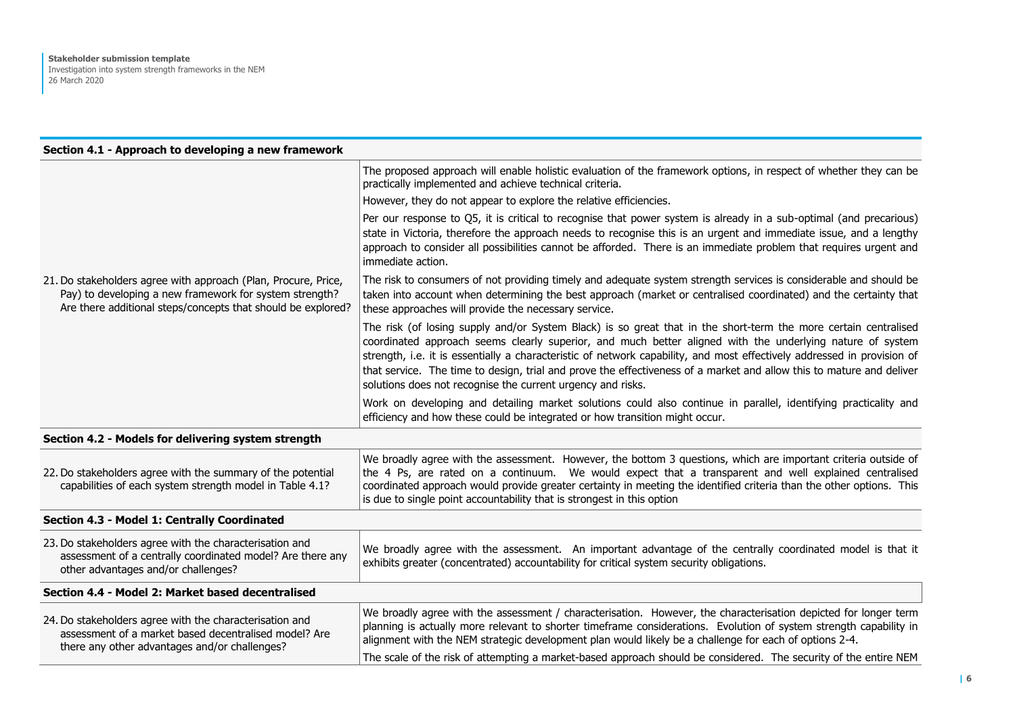#### **Section 4.1 - Approach to developing a new framework**

|                                                                                                                                                                                           | The proposed approach will enable holistic evaluation of the framework options, in respect of whether they can be<br>practically implemented and achieve technical criteria.                                                                                                                                                                                                                                                                                                                                                                   |
|-------------------------------------------------------------------------------------------------------------------------------------------------------------------------------------------|------------------------------------------------------------------------------------------------------------------------------------------------------------------------------------------------------------------------------------------------------------------------------------------------------------------------------------------------------------------------------------------------------------------------------------------------------------------------------------------------------------------------------------------------|
|                                                                                                                                                                                           | However, they do not appear to explore the relative efficiencies.                                                                                                                                                                                                                                                                                                                                                                                                                                                                              |
|                                                                                                                                                                                           | Per our response to Q5, it is critical to recognise that power system is already in a sub-optimal (and precarious)<br>state in Victoria, therefore the approach needs to recognise this is an urgent and immediate issue, and a lengthy<br>approach to consider all possibilities cannot be afforded. There is an immediate problem that requires urgent and<br>immediate action.                                                                                                                                                              |
| 21. Do stakeholders agree with approach (Plan, Procure, Price,<br>Pay) to developing a new framework for system strength?<br>Are there additional steps/concepts that should be explored? | The risk to consumers of not providing timely and adequate system strength services is considerable and should be<br>taken into account when determining the best approach (market or centralised coordinated) and the certainty that<br>these approaches will provide the necessary service.                                                                                                                                                                                                                                                  |
|                                                                                                                                                                                           | The risk (of losing supply and/or System Black) is so great that in the short-term the more certain centralised<br>coordinated approach seems clearly superior, and much better aligned with the underlying nature of system<br>strength, i.e. it is essentially a characteristic of network capability, and most effectively addressed in provision of<br>that service. The time to design, trial and prove the effectiveness of a market and allow this to mature and deliver<br>solutions does not recognise the current urgency and risks. |
|                                                                                                                                                                                           | Work on developing and detailing market solutions could also continue in parallel, identifying practicality and<br>efficiency and how these could be integrated or how transition might occur.                                                                                                                                                                                                                                                                                                                                                 |
| Section 4.2 - Models for delivering system strength                                                                                                                                       |                                                                                                                                                                                                                                                                                                                                                                                                                                                                                                                                                |
| 22. Do stakeholders agree with the summary of the potential<br>capabilities of each system strength model in Table 4.1?                                                                   | We broadly agree with the assessment. However, the bottom 3 questions, which are important criteria outside of<br>the 4 Ps, are rated on a continuum. We would expect that a transparent and well explained centralised<br>coordinated approach would provide greater certainty in meeting the identified criteria than the other options. This<br>is due to single point accountability that is strongest in this option                                                                                                                      |
| Section 4.3 - Model 1: Centrally Coordinated                                                                                                                                              |                                                                                                                                                                                                                                                                                                                                                                                                                                                                                                                                                |
| 23. Do stakeholders agree with the characterisation and<br>assessment of a centrally coordinated model? Are there any<br>other advantages and/or challenges?                              | We broadly agree with the assessment. An important advantage of the centrally coordinated model is that it<br>exhibits greater (concentrated) accountability for critical system security obligations.                                                                                                                                                                                                                                                                                                                                         |
| Section 4.4 - Model 2: Market based decentralised                                                                                                                                         |                                                                                                                                                                                                                                                                                                                                                                                                                                                                                                                                                |
| 24. Do stakeholders agree with the characterisation and<br>assessment of a market based decentralised model? Are<br>there any other advantages and/or challenges?                         | We broadly agree with the assessment / characterisation. However, the characterisation depicted for longer term<br>planning is actually more relevant to shorter timeframe considerations. Evolution of system strength capability in<br>alignment with the NEM strategic development plan would likely be a challenge for each of options 2-4.                                                                                                                                                                                                |
|                                                                                                                                                                                           | The scale of the risk of attempting a market-based approach should be considered. The security of the entire NEM                                                                                                                                                                                                                                                                                                                                                                                                                               |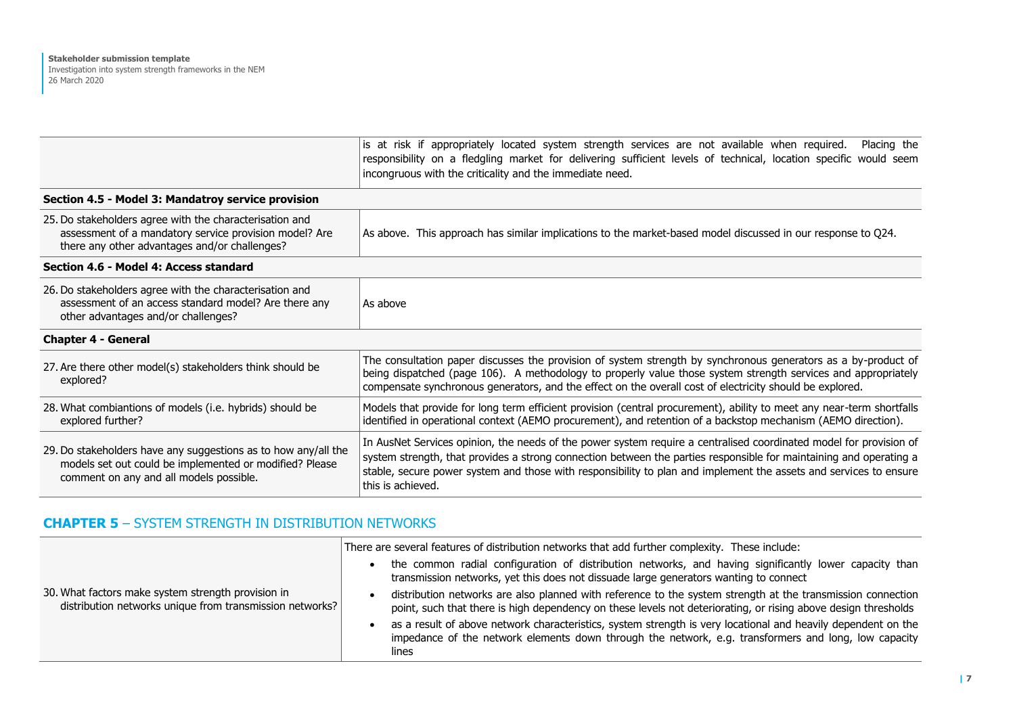|                                                                                                                                                                      | is at risk if appropriately located system strength services are not available when required.<br>Placing the<br>responsibility on a fledgling market for delivering sufficient levels of technical, location specific would seem<br>incongruous with the criticality and the immediate need.                                                                                       |
|----------------------------------------------------------------------------------------------------------------------------------------------------------------------|------------------------------------------------------------------------------------------------------------------------------------------------------------------------------------------------------------------------------------------------------------------------------------------------------------------------------------------------------------------------------------|
| Section 4.5 - Model 3: Mandatroy service provision                                                                                                                   |                                                                                                                                                                                                                                                                                                                                                                                    |
| 25. Do stakeholders agree with the characterisation and<br>assessment of a mandatory service provision model? Are<br>there any other advantages and/or challenges?   | As above. This approach has similar implications to the market-based model discussed in our response to Q24.                                                                                                                                                                                                                                                                       |
| Section 4.6 - Model 4: Access standard                                                                                                                               |                                                                                                                                                                                                                                                                                                                                                                                    |
| 26. Do stakeholders agree with the characterisation and<br>assessment of an access standard model? Are there any<br>other advantages and/or challenges?              | As above                                                                                                                                                                                                                                                                                                                                                                           |
| <b>Chapter 4 - General</b>                                                                                                                                           |                                                                                                                                                                                                                                                                                                                                                                                    |
| 27. Are there other model(s) stakeholders think should be<br>explored?                                                                                               | The consultation paper discusses the provision of system strength by synchronous generators as a by-product of<br>being dispatched (page 106). A methodology to properly value those system strength services and appropriately<br>compensate synchronous generators, and the effect on the overall cost of electricity should be explored.                                        |
| 28. What combiantions of models (i.e. hybrids) should be<br>explored further?                                                                                        | Models that provide for long term efficient provision (central procurement), ability to meet any near-term shortfalls<br>identified in operational context (AEMO procurement), and retention of a backstop mechanism (AEMO direction).                                                                                                                                             |
| 29. Do stakeholders have any suggestions as to how any/all the<br>models set out could be implemented or modified? Please<br>comment on any and all models possible. | In AusNet Services opinion, the needs of the power system require a centralised coordinated model for provision of<br>system strength, that provides a strong connection between the parties responsible for maintaining and operating a<br>stable, secure power system and those with responsibility to plan and implement the assets and services to ensure<br>this is achieved. |

## **CHAPTER 5** – SYSTEM STRENGTH IN DISTRIBUTION NETWORKS

|                                                                                                                | There are several features of distribution networks that add further complexity. These include:                                                                                                                                |
|----------------------------------------------------------------------------------------------------------------|--------------------------------------------------------------------------------------------------------------------------------------------------------------------------------------------------------------------------------|
|                                                                                                                | the common radial configuration of distribution networks, and having significantly lower capacity than<br>transmission networks, yet this does not dissuade large generators wanting to connect                                |
| 30. What factors make system strength provision in<br>distribution networks unique from transmission networks? | distribution networks are also planned with reference to the system strength at the transmission connection<br>point, such that there is high dependency on these levels not deteriorating, or rising above design thresholds  |
|                                                                                                                | as a result of above network characteristics, system strength is very locational and heavily dependent on the<br>impedance of the network elements down through the network, e.g. transformers and long, low capacity<br>lines |